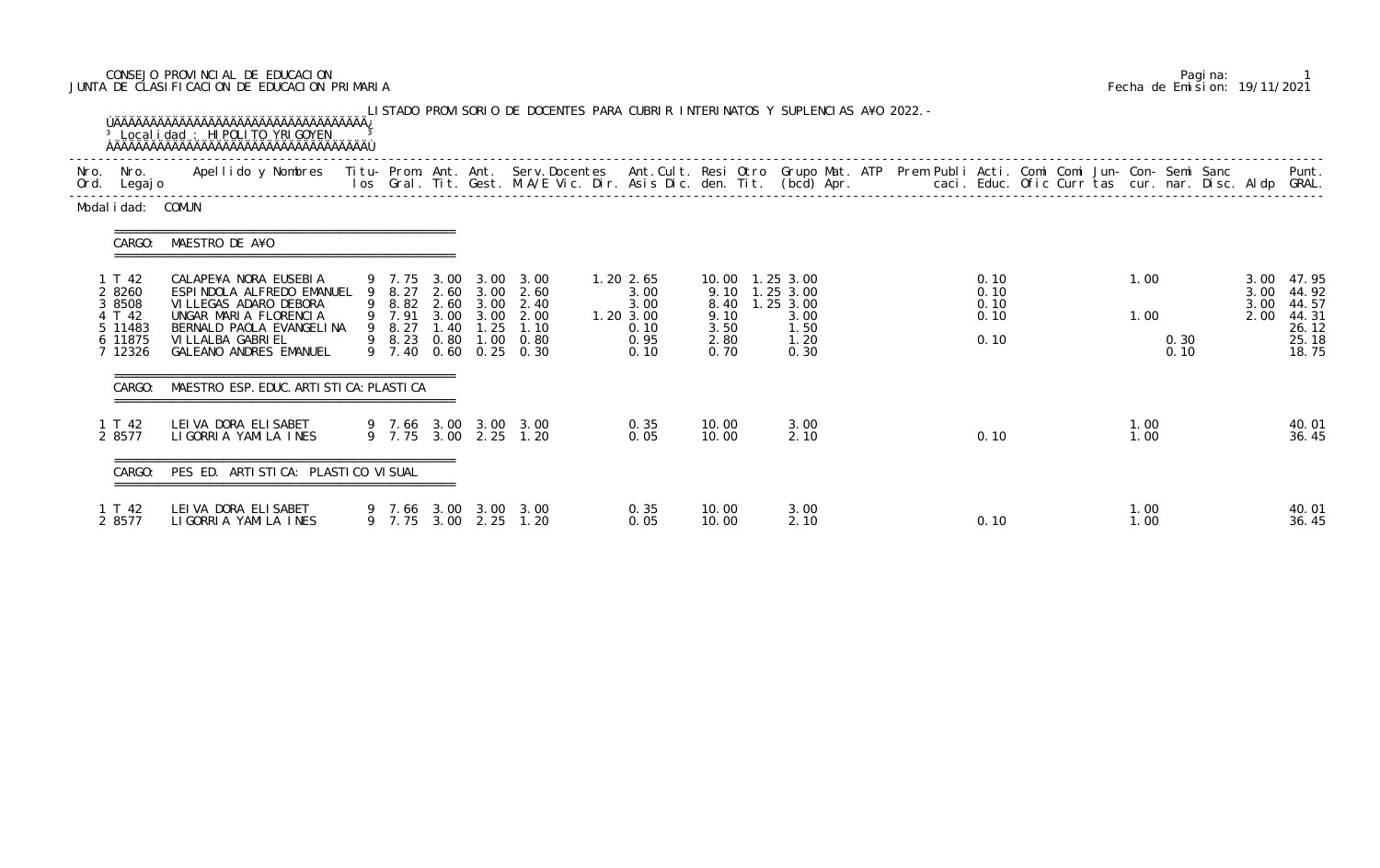## CONSEJO PROVINCIAL DE EDUCACION Pagina: 1 JUNTA DE CLASIFICACION DE EDUCACION PRIMARIA Fecha de Emision: 19/11/2021

| Nro. Nro.<br>Ord. Legajo                                              | Apellido y Nombres Titu- Prom. Ant. Ant. Serv.Docentes Ant.Cult. Resi Otro Grupo Mat. ATP Prem Publi Acti. Comi Comi Jun- Con- Semi Sanc                                                                |  |  |                                                                                                                                                    |                                                                  |                              |                                                                                       | los Gral. Tit. Gest. M.A/E Vic. Dir. Asis Dic. den. Tit. (bcd) Apr.        caci. Educ. Ofic Curr tas cur. nar. Disc. Aldp GRAL. |                                      |  |              |              |              | Punt.                                                                 |
|-----------------------------------------------------------------------|---------------------------------------------------------------------------------------------------------------------------------------------------------------------------------------------------------|--|--|----------------------------------------------------------------------------------------------------------------------------------------------------|------------------------------------------------------------------|------------------------------|---------------------------------------------------------------------------------------|---------------------------------------------------------------------------------------------------------------------------------|--------------------------------------|--|--------------|--------------|--------------|-----------------------------------------------------------------------|
| Modal i dad: COMUN                                                    |                                                                                                                                                                                                         |  |  |                                                                                                                                                    |                                                                  |                              |                                                                                       |                                                                                                                                 |                                      |  |              |              |              |                                                                       |
| CARGO:                                                                | MAESTRO DE A¥O                                                                                                                                                                                          |  |  |                                                                                                                                                    |                                                                  |                              |                                                                                       |                                                                                                                                 |                                      |  |              |              |              |                                                                       |
| 1 T 42<br>2 8260<br>3 8508<br>4 T 42<br>5 11483<br>6 11875<br>7 12326 | CALAPE¥A NORA EUSEBIA<br>ESPINDOLA ALFREDO EMANUEL 9 8.27 2.60 3.00 2.60<br>VI LLEGAS ADARO DEBORA<br>UNGAR MARIA FLORENCIA<br>BERNALD PAOLA EVANGELINA<br>VI LLALBA GABRI EL<br>GALEANO ANDRES EMANUEL |  |  | 9 7.75 3.00 3.00 3.00<br>9 8.82 2.60 3.00 2.40<br>9 7.91 3.00 3.00 2.00<br>9 8.27 1.40 1.25 1.10<br>9 8.23 0.80 1.00 0.80<br>9 7.40 0.60 0.25 0.30 | $1.20$ 2.65<br>3.00<br>3.00<br>1.20 3.00<br>0.10<br>0.95<br>0.10 | 9.10<br>3.50<br>2.80<br>0.70 | 10.00  1.25  3.00<br>9.10 1.25 3.00<br>8.40 1.25 3.00<br>3.00<br>1.50<br>1.20<br>0.30 |                                                                                                                                 | 0.10<br>0.10<br>0.10<br>0.10<br>0.10 |  | 1.00<br>1.00 | 0.30<br>0.10 | 3.00<br>2.00 | 3.00 47.95<br>3.00 44.92<br>44.57<br>44.31<br>26.12<br>25.18<br>18.75 |
| CARGO:                                                                | MAESTRO ESP. EDUC. ARTI STI CA: PLASTI CA                                                                                                                                                               |  |  |                                                                                                                                                    |                                                                  |                              |                                                                                       |                                                                                                                                 |                                      |  |              |              |              |                                                                       |
| 1 T 42<br>2 8577                                                      | LEIVA DORA ELISABET<br>LIGORRIA YAMILA INES                                                                                                                                                             |  |  | 9 7.66 3.00 3.00 3.00<br>9 7.75 3.00 2.25 1.20                                                                                                     | 0.35<br>0.05                                                     | 10.00<br>10.00               | 3.00<br>2.10                                                                          |                                                                                                                                 | 0.10                                 |  | 1.00<br>1.00 |              |              | 40.01<br>36.45                                                        |
|                                                                       | CARGO: PES ED. ARTISTICA: PLASTICO VISUAL                                                                                                                                                               |  |  |                                                                                                                                                    |                                                                  |                              |                                                                                       |                                                                                                                                 |                                      |  |              |              |              |                                                                       |
| 1 T 42<br>2 8577                                                      | LEI VA DORA ELI SABET<br>LIGORRIA YAMILA INES                                                                                                                                                           |  |  | 9 7.66 3.00 3.00 3.00<br>9 7.75 3.00 2.25 1.20                                                                                                     | 0.35<br>0.05                                                     | 10.00<br>10.00               | 3.00<br>2.10                                                                          |                                                                                                                                 | 0.10                                 |  | 1.00<br>1.00 |              |              | 40.01<br>36.45                                                        |

|  | Pagi na: |                              |
|--|----------|------------------------------|
|  |          | Fecha de Emision: 19/11/2021 |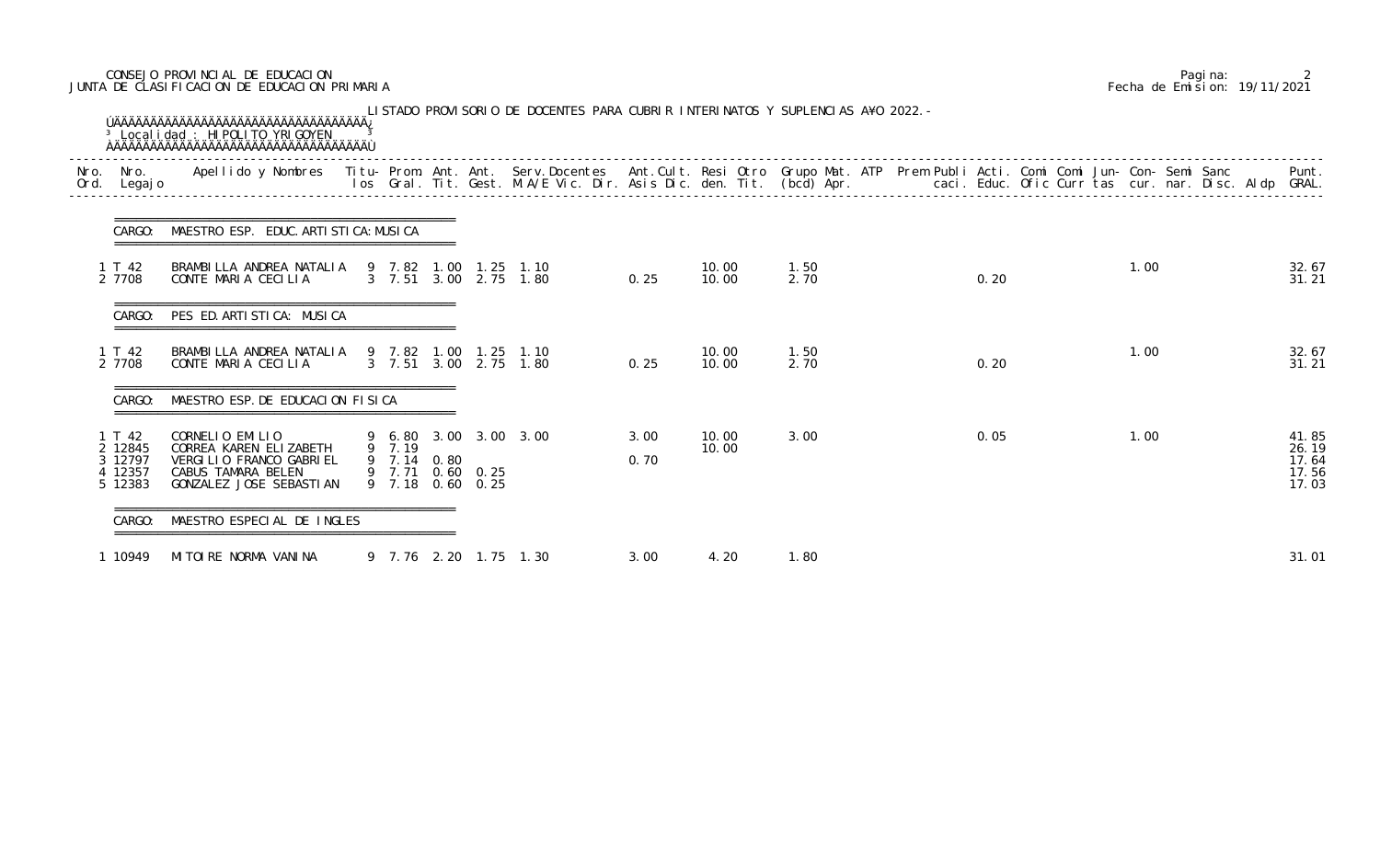## CONSEJO PROVINCIAL DE EDUCACION Pagina: 2 JUNTA DE CLASIFICACION DE EDUCACION PRIMARIA Fecha de Emision: 19/11/2021

| Ord. | Nro. Nro.<br>Legaj o                             | Apellido y Nombres  Titu- Prom. Ant. Ant. Serv.Docentes  Ant.Cult. Resi Otro  Grupo Mat. ATP  Prem Publi Acti. Comi Comi Jun- Con- Semi Sanc                Punt.<br>Ios Gral. Tit. Gest. M.A/E Vic. Dir. Asis Dic. den. Tit. (bc |                       |                                      |                                    |              |                |              |  |      |  |      |  |                                           |
|------|--------------------------------------------------|-----------------------------------------------------------------------------------------------------------------------------------------------------------------------------------------------------------------------------------|-----------------------|--------------------------------------|------------------------------------|--------------|----------------|--------------|--|------|--|------|--|-------------------------------------------|
|      | CARGO:                                           | MAESTRO ESP. EDUC. ARTI STI CA: MUSI CA                                                                                                                                                                                           |                       |                                      |                                    |              |                |              |  |      |  |      |  |                                           |
|      | 1 T 42<br>2 7708                                 | BRAMBILLA ANDREA NATALIA<br>CONTE MARIA CECILIA                                                                                                                                                                                   | 9 7.82 1.00           | 1. 25                                | 1.10<br>3 7.51 3.00 2.75 1.80      | 0.25         | 10.00<br>10.00 | 1.50<br>2.70 |  | 0.20 |  | 1.00 |  | 32.67<br>31.21                            |
|      | CARGO:                                           | PES ED. ARTI STI CA: MUSI CA                                                                                                                                                                                                      |                       |                                      |                                    |              |                |              |  |      |  |      |  |                                           |
|      | 1 T 42<br>2 7708                                 | BRAMBILLA ANDREA NATALIA 9 7.82 1.00<br>CONTE MARIA CECILIA                                                                                                                                                                       |                       |                                      | 1.25 1.10<br>3 7.51 3.00 2.75 1.80 | 0.25         | 10.00<br>10.00 | 1.50<br>2.70 |  | 0.20 |  | 1.00 |  | 32.67<br>31.21                            |
|      | CARGO:                                           | MAESTRO ESP. DE EDUCACION FISICA                                                                                                                                                                                                  |                       |                                      |                                    |              |                |              |  |      |  |      |  |                                           |
|      | 1 T 42<br>2 12845<br>3 12797<br>12357<br>5 12383 | CORNELIO EMILIO<br>CORREA KAREN ELIZABETH<br>VERGILIO FRANCO GABRIEL<br>CABUS TAMARA BELEN<br>GONZALEZ JOSE SEBASTIAN                                                                                                             | 9 7.19<br>9 7.14 0.80 | 9 7.71 0.60 0.25<br>9 7.18 0.60 0.25 | 9 6.80 3.00 3.00 3.00              | 3.00<br>0.70 | 10.00<br>10.00 | 3.00         |  | 0.05 |  | 1.00 |  | 41.85<br>26.19<br>17.64<br>17.56<br>17.03 |
|      | CARGO:                                           | MAESTRO ESPECIAL DE INGLES                                                                                                                                                                                                        |                       |                                      |                                    |              |                |              |  |      |  |      |  |                                           |
|      | 1 10949                                          | MITOIRE NORMA VANINA                                                                                                                                                                                                              |                       |                                      | 9 7.76 2.20 1.75 1.30              | 3.00         | 4.20           | 1.80         |  |      |  |      |  | 31.01                                     |

|  | Pagi na: |                                           |
|--|----------|-------------------------------------------|
|  |          | Fecha de Emision: 19/11/2021 <sup>-</sup> |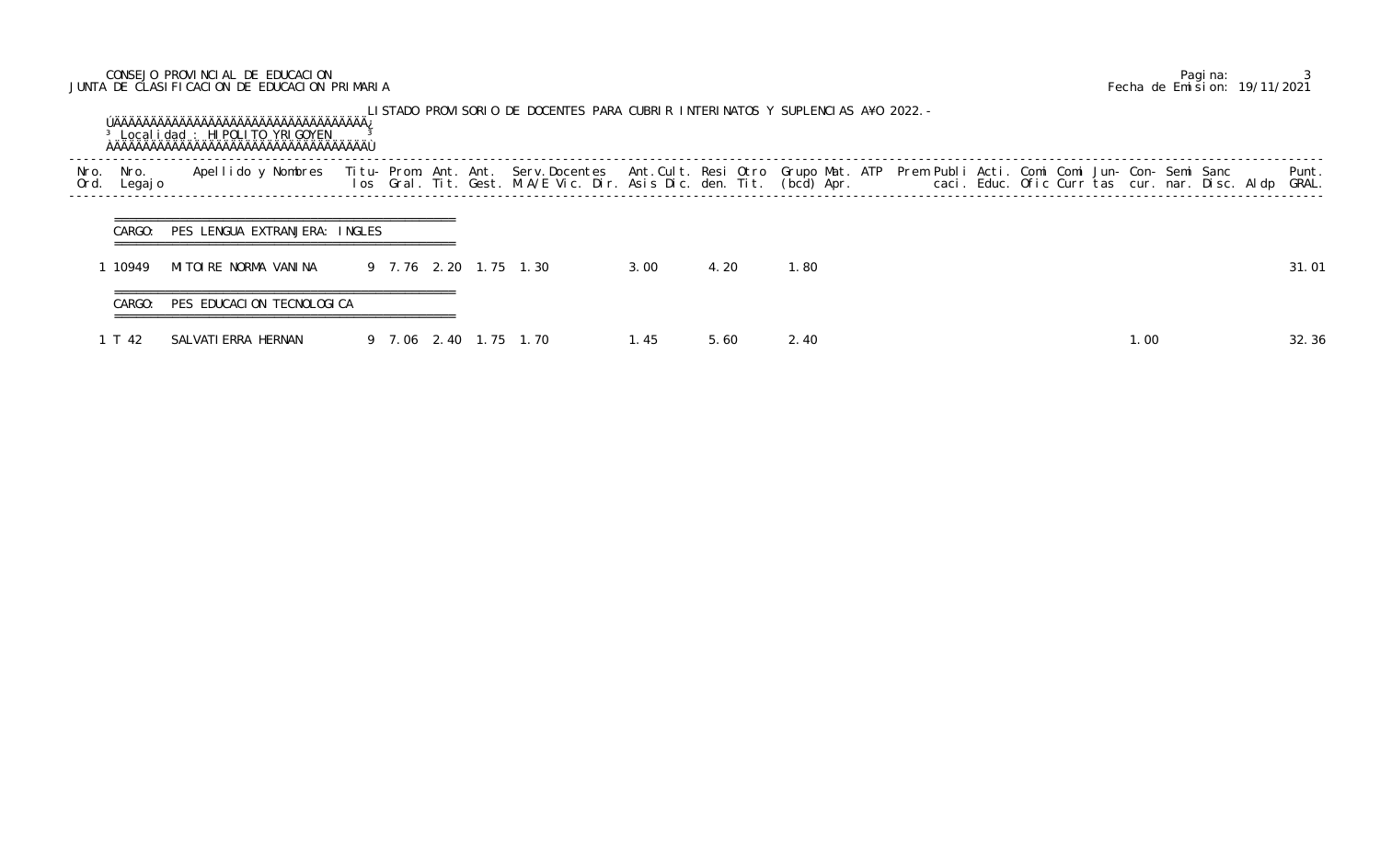# CONSEJO PROVINCIAL DE EDUCACION Pagina: 3 JUNTA DE CLASIFICACION DE EDUCACION PRIMARIA Fecha de Emision: 19/11/2021

|              |                 | <sup>3</sup> Local i dad: HI POLI TO YRI GOYEN |             |        | LISTADO PROVISORIO DE DOCENTES PARA CUBRIR INTERINATOS Y SUPLENCIAS A¥O 2022.-                                                                                                                                                    |       |      |      |  |  |     |  |                |
|--------------|-----------------|------------------------------------------------|-------------|--------|-----------------------------------------------------------------------------------------------------------------------------------------------------------------------------------------------------------------------------------|-------|------|------|--|--|-----|--|----------------|
| Nro.<br>Ord. | Nro.<br>Legaj o | Apellido y Nombres                             |             |        | Titu- Prom. Ant. Ant. Serv.Docentes  Ant.Cult. Resi Otro Grupo Mat. ATP  Prem Publi Acti. Comi Comi Jun- Con- Semi Sanc<br>Ios  Gral. Tit. Gest. M.A/E Vic. Dir. Asis Dic. den. Tit. (bcd) Apr.                caci. Educ. Ofic C |       |      |      |  |  |     |  | Punt.<br>GRAL. |
|              | CARGO:          | PES LENGUA EXTRANJERA: INGLES                  |             |        |                                                                                                                                                                                                                                   |       |      |      |  |  |     |  |                |
|              | 10949           | MITOIRE NORMA VANINA                           |             |        | 9 7.76 2.20 1.75 1.30                                                                                                                                                                                                             | 3.00  | 4.20 | 1.80 |  |  |     |  | 31.01          |
|              | CARGO:          | PES EDUCACION TECNOLOGICA                      |             |        |                                                                                                                                                                                                                                   |       |      |      |  |  |     |  |                |
|              | T 42            | SALVATI ERRA HERNAN                            | 9 7.06 2.40 | . $15$ | 1.70                                                                                                                                                                                                                              | 1. 45 | 5.60 | 2.40 |  |  | .00 |  | 32.36          |